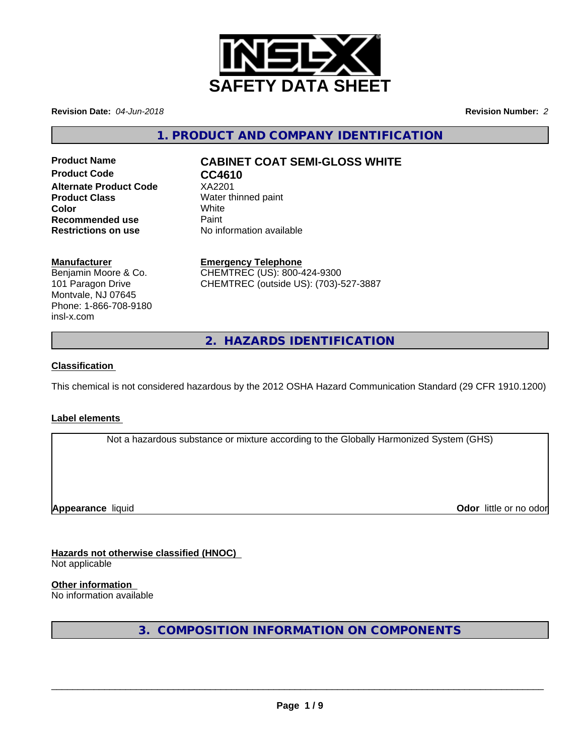

**Revision Date:** *04-Jun-2018* **Revision Number:** *2*

**1. PRODUCT AND COMPANY IDENTIFICATION**

**Product Code CC4610 Alternate Product Code** XA2201 **Product Class** Water thinned paint **Color** White White **Recommended use** Paint<br> **Restrictions on use** No inf

# **Product Name CABINET COAT SEMI-GLOSS WHITE**

**No information available** 

### **Manufacturer**

Benjamin Moore & Co. 101 Paragon Drive Montvale, NJ 07645 Phone: 1-866-708-9180 insl-x.com

**Emergency Telephone** CHEMTREC (US): 800-424-9300 CHEMTREC (outside US): (703)-527-3887

**2. HAZARDS IDENTIFICATION**

### **Classification**

This chemical is not considered hazardous by the 2012 OSHA Hazard Communication Standard (29 CFR 1910.1200)

### **Label elements**

Not a hazardous substance or mixture according to the Globally Harmonized System (GHS)

**Appearance** liquid **Contract Contract Contract Contract Contract Contract Contract Contract Contract Contract Contract Contract Contract Contract Contract Contract Contract Contract Contract Contract Contract Contract Con** 

**Hazards not otherwise classified (HNOC)** Not applicable

**Other information** No information available

**3. COMPOSITION INFORMATION ON COMPONENTS**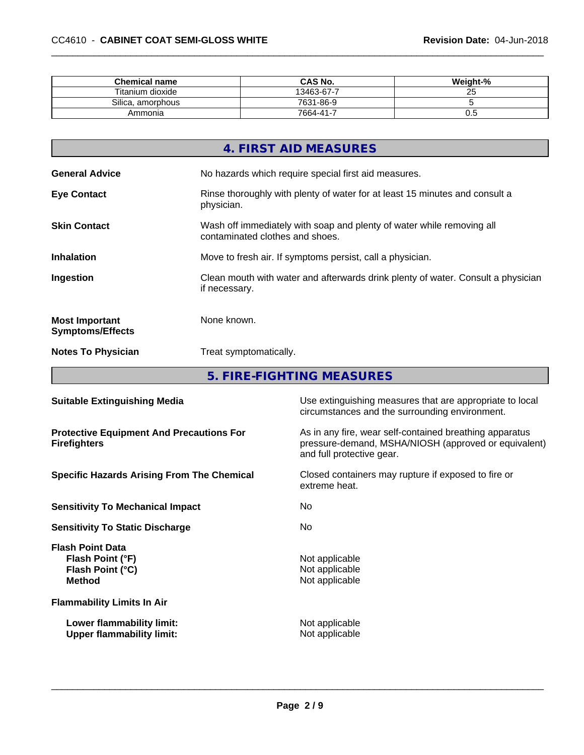| <b>Chemical name</b> | <b>CAS No.</b> | Weight-% |
|----------------------|----------------|----------|
| Titanium dioxide     | 13463-67-7     | ∠◡       |
| Silica, amorphous    | 7631-86-9      |          |
| Ammonia              | 7664-41-7      | v.J      |

|                                                  | 4. FIRST AID MEASURES                                                                                    |
|--------------------------------------------------|----------------------------------------------------------------------------------------------------------|
| <b>General Advice</b>                            | No hazards which require special first aid measures.                                                     |
| <b>Eye Contact</b>                               | Rinse thoroughly with plenty of water for at least 15 minutes and consult a<br>physician.                |
| <b>Skin Contact</b>                              | Wash off immediately with soap and plenty of water while removing all<br>contaminated clothes and shoes. |
| <b>Inhalation</b>                                | Move to fresh air. If symptoms persist, call a physician.                                                |
| Ingestion                                        | Clean mouth with water and afterwards drink plenty of water. Consult a physician<br>if necessary.        |
| <b>Most Important</b><br><b>Symptoms/Effects</b> | None known.                                                                                              |
| <b>Notes To Physician</b>                        | Treat symptomatically.                                                                                   |
|                                                  |                                                                                                          |

**5. FIRE-FIGHTING MEASURES 1999 THE SET IN A SET IN A SET IN A SET I**N A SET IN A SET IN A SET IN A SET IN A SET IN

| <b>Suitable Extinguishing Media</b>                                              | Use extinguishing measures that are appropriate to local<br>circumstances and the surrounding environment.                                   |
|----------------------------------------------------------------------------------|----------------------------------------------------------------------------------------------------------------------------------------------|
| <b>Protective Equipment And Precautions For</b><br><b>Firefighters</b>           | As in any fire, wear self-contained breathing apparatus<br>pressure-demand, MSHA/NIOSH (approved or equivalent)<br>and full protective gear. |
| <b>Specific Hazards Arising From The Chemical</b>                                | Closed containers may rupture if exposed to fire or<br>extreme heat.                                                                         |
| <b>Sensitivity To Mechanical Impact</b>                                          | No.                                                                                                                                          |
| <b>Sensitivity To Static Discharge</b>                                           | No.                                                                                                                                          |
| <b>Flash Point Data</b><br>Flash Point (°F)<br>Flash Point (°C)<br><b>Method</b> | Not applicable<br>Not applicable<br>Not applicable                                                                                           |
| <b>Flammability Limits In Air</b>                                                |                                                                                                                                              |
| Lower flammability limit:<br><b>Upper flammability limit:</b>                    | Not applicable<br>Not applicable                                                                                                             |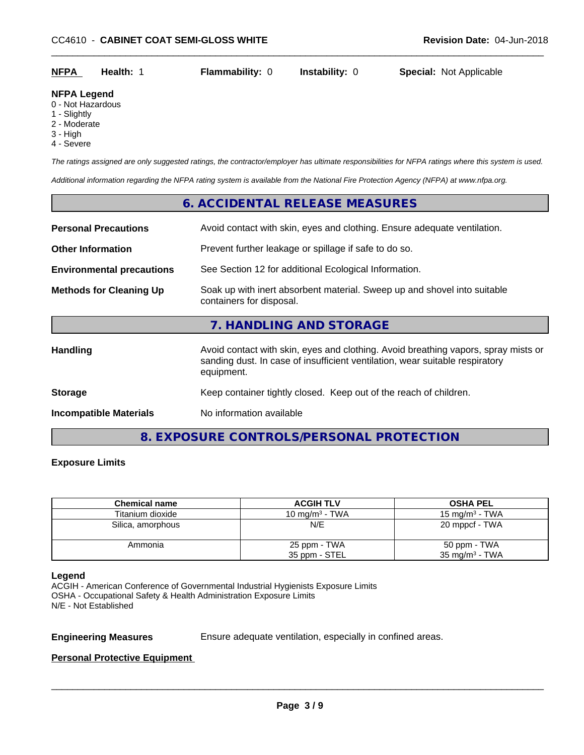| <b>NFPA</b> | Health: | <b>Flammability: 0</b> | <b>Instability: 0</b> | <b>Special: Not Applicable</b> |  |
|-------------|---------|------------------------|-----------------------|--------------------------------|--|
|             |         |                        |                       |                                |  |

### **NFPA Legend**

- 0 Not Hazardous
- 1 Slightly
- 2 Moderate
- 3 High
- 4 Severe

*The ratings assigned are only suggested ratings, the contractor/employer has ultimate responsibilities for NFPA ratings where this system is used.*

*Additional information regarding the NFPA rating system is available from the National Fire Protection Agency (NFPA) at www.nfpa.org.*

# **6. ACCIDENTAL RELEASE MEASURES Personal Precautions** Avoid contact with skin, eyes and clothing. Ensure adequate ventilation. **Other Information** Prevent further leakage or spillage if safe to do so. **Environmental precautions** See Section 12 for additional Ecological Information. **Methods for Cleaning Up** Soak up with inert absorbent material. Sweep up and shovel into suitable containers for disposal. **7. HANDLING AND STORAGE Handling Avoid contact with skin, eyes and clothing. Avoid breathing vapors, spray mists or spray mists or** sanding dust. In case of insufficient ventilation, wear suitable respiratory equipment. **Storage** Keep container tightly closed. Keep out of the reach of children. **Incompatible Materials** No information available

**8. EXPOSURE CONTROLS/PERSONAL PROTECTION**

### **Exposure Limits**

| <b>Chemical name</b> | <b>ACGIH TLV</b>  | <b>OSHA PEL</b>   |
|----------------------|-------------------|-------------------|
| Titanium dioxide     | 10 mg/m $3$ - TWA | 15 mg/m $3$ - TWA |
| Silica, amorphous    | N/E               | 20 mppcf - TWA    |
| Ammonia              | 25 ppm - TWA      | 50 ppm - TWA      |
|                      | 35 ppm - STEL     | 35 mg/m $3$ - TWA |

### **Legend**

ACGIH - American Conference of Governmental Industrial Hygienists Exposure Limits OSHA - Occupational Safety & Health Administration Exposure Limits N/E - Not Established

**Engineering Measures** Ensure adequate ventilation, especially in confined areas.

 $\overline{\phantom{a}}$  ,  $\overline{\phantom{a}}$  ,  $\overline{\phantom{a}}$  ,  $\overline{\phantom{a}}$  ,  $\overline{\phantom{a}}$  ,  $\overline{\phantom{a}}$  ,  $\overline{\phantom{a}}$  ,  $\overline{\phantom{a}}$  ,  $\overline{\phantom{a}}$  ,  $\overline{\phantom{a}}$  ,  $\overline{\phantom{a}}$  ,  $\overline{\phantom{a}}$  ,  $\overline{\phantom{a}}$  ,  $\overline{\phantom{a}}$  ,  $\overline{\phantom{a}}$  ,  $\overline{\phantom{a}}$ 

### **Personal Protective Equipment**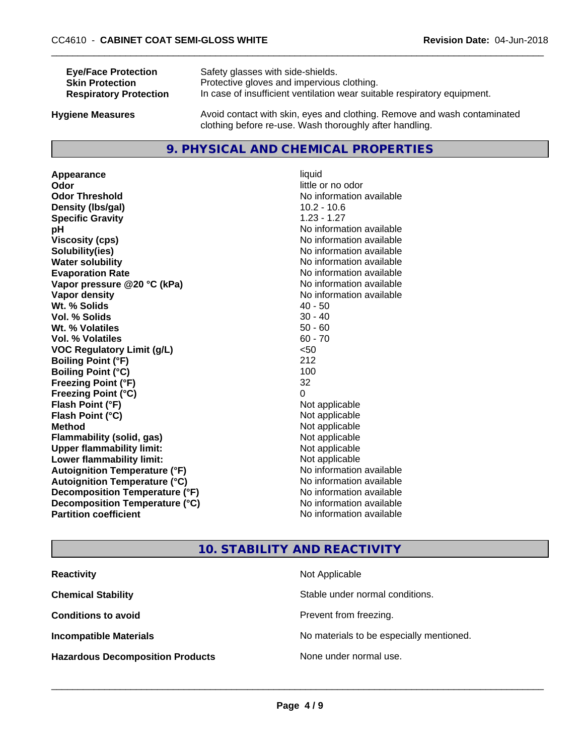| <b>Eye/Face Protection</b>    | Safety glasses with side-shields.                                        |
|-------------------------------|--------------------------------------------------------------------------|
| <b>Skin Protection</b>        | Protective gloves and impervious clothing.                               |
| <b>Respiratory Protection</b> | In case of insufficient ventilation wear suitable respiratory equipment. |
| Ivaiono Moscuros              | Avoid contact with skin, eves and clothing. Remove and wash contaminated |

**Hygiene Measures** Avoid contact with skin, eyes and clothing. Remove and wash contaminated clothing before re-use. Wash thoroughly after handling.

### **9. PHYSICAL AND CHEMICAL PROPERTIES**

**Appearance** liquid **Odor** little or no odor **Odor Threshold** No information available **Density (lbs/gal)** 10.2 - 10.6 **Specific Gravity** 1.23 - 1.27 **pH pH**  $\blacksquare$ **Viscosity (cps)** No information available<br> **Solubility (ies)** No information available<br>
No information available **Water solubility** No information available **Evaporation Rate Evaporation Rate No information available Vapor pressure @20 °C (kPa)** No information available **Vapor density** No information available **Wt. % Solids** 40 - 50<br> **Vol. % Solids** 30 - 40 **Vol. % Solids Wt. % Volatiles** 50 - 60 **Vol. % Volatiles** 60 - 70 **VOC Regulatory Limit (g/L)** <50 **Boiling Point (°F)** 212 **Boiling Point**  $(^{\circ}C)$  100 **Freezing Point (°F)** 32 **Freezing Point (°C)** 0 **Flash Point (°F)** Not applicable **Flash Point (°C)** Not applicable **Method** Not applicable<br> **Flammability (solid, gas)** Not applicable Not applicable **Flammability** (solid, gas) **Upper flammability limit:**<br> **Lower flammability limit:** Not applicable Not applicable **Lower flammability limit:**<br> **Autoignition Temperature (°F)** Not applicable havailable **Autoignition Temperature (°F) Autoignition Temperature (°C)** No information available **Decomposition Temperature (°F)** No information available **Decomposition Temperature (°C)**<br> **Partition coefficient**<br> **Partition coefficient**<br> **Partition coefficient** 

# **Solubility(ies)** No information available **No information available**

### **10. STABILITY AND REACTIVITY**

| <b>Reactivity</b>                       | Not Applicable                           |
|-----------------------------------------|------------------------------------------|
| <b>Chemical Stability</b>               | Stable under normal conditions.          |
| <b>Conditions to avoid</b>              | Prevent from freezing.                   |
| <b>Incompatible Materials</b>           | No materials to be especially mentioned. |
| <b>Hazardous Decomposition Products</b> | None under normal use.                   |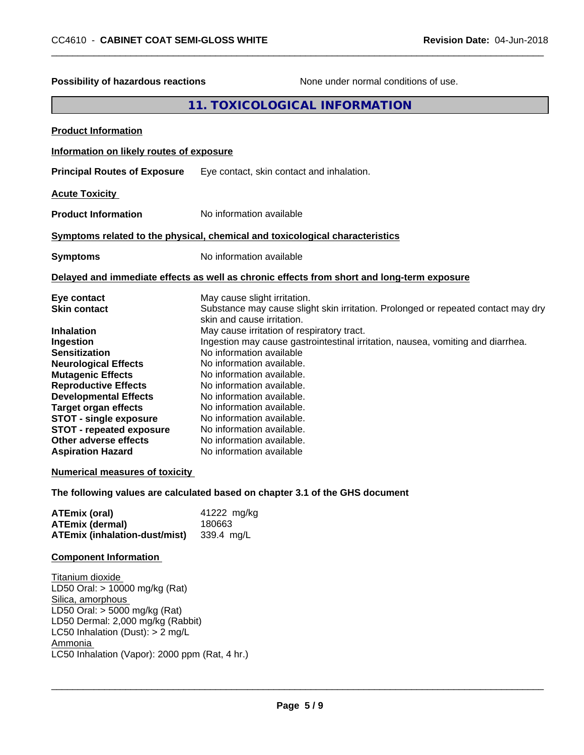| Possibility of hazardous reactions                                                                                                                                                                                                                                                                                                                                                                                                                                                                                | None under normal conditions of use.                                                                                                                                                                                                                                                                                                                                                                                                                                                                                                                                                                                                                                                                    |
|-------------------------------------------------------------------------------------------------------------------------------------------------------------------------------------------------------------------------------------------------------------------------------------------------------------------------------------------------------------------------------------------------------------------------------------------------------------------------------------------------------------------|---------------------------------------------------------------------------------------------------------------------------------------------------------------------------------------------------------------------------------------------------------------------------------------------------------------------------------------------------------------------------------------------------------------------------------------------------------------------------------------------------------------------------------------------------------------------------------------------------------------------------------------------------------------------------------------------------------|
|                                                                                                                                                                                                                                                                                                                                                                                                                                                                                                                   | 11. TOXICOLOGICAL INFORMATION                                                                                                                                                                                                                                                                                                                                                                                                                                                                                                                                                                                                                                                                           |
| <b>Product Information</b>                                                                                                                                                                                                                                                                                                                                                                                                                                                                                        |                                                                                                                                                                                                                                                                                                                                                                                                                                                                                                                                                                                                                                                                                                         |
| Information on likely routes of exposure                                                                                                                                                                                                                                                                                                                                                                                                                                                                          |                                                                                                                                                                                                                                                                                                                                                                                                                                                                                                                                                                                                                                                                                                         |
| <b>Principal Routes of Exposure</b>                                                                                                                                                                                                                                                                                                                                                                                                                                                                               | Eye contact, skin contact and inhalation.                                                                                                                                                                                                                                                                                                                                                                                                                                                                                                                                                                                                                                                               |
| <b>Acute Toxicity</b>                                                                                                                                                                                                                                                                                                                                                                                                                                                                                             |                                                                                                                                                                                                                                                                                                                                                                                                                                                                                                                                                                                                                                                                                                         |
| <b>Product Information</b>                                                                                                                                                                                                                                                                                                                                                                                                                                                                                        | No information available                                                                                                                                                                                                                                                                                                                                                                                                                                                                                                                                                                                                                                                                                |
|                                                                                                                                                                                                                                                                                                                                                                                                                                                                                                                   | Symptoms related to the physical, chemical and toxicological characteristics                                                                                                                                                                                                                                                                                                                                                                                                                                                                                                                                                                                                                            |
| <b>Symptoms</b>                                                                                                                                                                                                                                                                                                                                                                                                                                                                                                   | No information available                                                                                                                                                                                                                                                                                                                                                                                                                                                                                                                                                                                                                                                                                |
|                                                                                                                                                                                                                                                                                                                                                                                                                                                                                                                   | Delayed and immediate effects as well as chronic effects from short and long-term exposure                                                                                                                                                                                                                                                                                                                                                                                                                                                                                                                                                                                                              |
| Eye contact<br><b>Skin contact</b><br><b>Inhalation</b><br>Ingestion<br><b>Sensitization</b><br><b>Neurological Effects</b><br><b>Mutagenic Effects</b><br><b>Reproductive Effects</b><br><b>Developmental Effects</b><br><b>Target organ effects</b><br><b>STOT - single exposure</b><br><b>STOT - repeated exposure</b><br>Other adverse effects<br><b>Aspiration Hazard</b><br><b>Numerical measures of toxicity</b><br><b>ATEmix (oral)</b><br><b>ATEmix (dermal)</b><br><b>ATEmix (inhalation-dust/mist)</b> | May cause slight irritation.<br>Substance may cause slight skin irritation. Prolonged or repeated contact may dry<br>skin and cause irritation.<br>May cause irritation of respiratory tract.<br>Ingestion may cause gastrointestinal irritation, nausea, vomiting and diarrhea.<br>No information available<br>No information available.<br>No information available.<br>No information available.<br>No information available.<br>No information available.<br>No information available.<br>No information available.<br>No information available.<br>No information available<br>The following values are calculated based on chapter 3.1 of the GHS document<br>41222 mg/kg<br>180663<br>339.4 mg/L |
| <b>Component Information</b>                                                                                                                                                                                                                                                                                                                                                                                                                                                                                      |                                                                                                                                                                                                                                                                                                                                                                                                                                                                                                                                                                                                                                                                                                         |
| Titanium dioxide<br>LD50 Oral: > 10000 mg/kg (Rat)<br>Silica, amorphous<br>LD50 Oral: $>$ 5000 mg/kg (Rat)<br>LD50 Dermal: 2,000 mg/kg (Rabbit)<br>LC50 Inhalation (Dust): > 2 mg/L<br>Ammonia<br>LC50 Inhalation (Vapor): 2000 ppm (Rat, 4 hr.)                                                                                                                                                                                                                                                                  |                                                                                                                                                                                                                                                                                                                                                                                                                                                                                                                                                                                                                                                                                                         |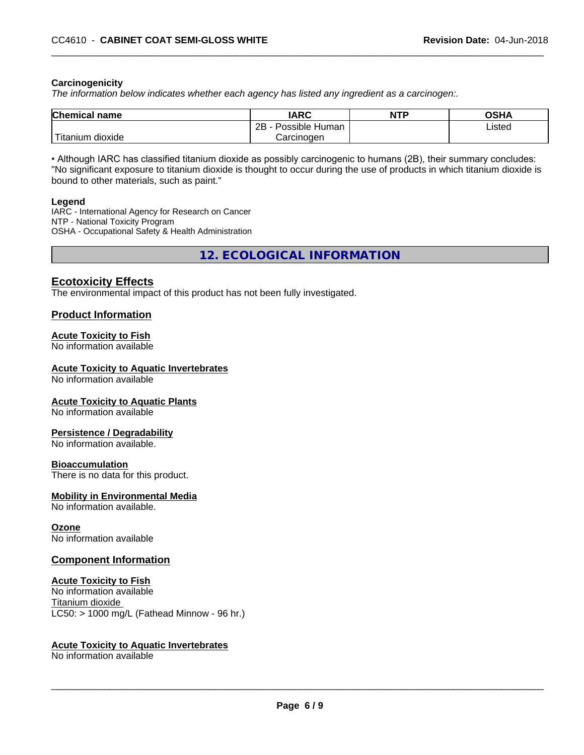### **Carcinogenicity**

*The information below indicateswhether each agency has listed any ingredient as a carcinogen:.*

| <b>Chemical</b><br>name             | <b>IARC</b>                    | <b>NTP</b> | ດເ⊔າ<br>שטש |
|-------------------------------------|--------------------------------|------------|-------------|
|                                     | .<br>2B<br>: Human<br>Possible |            | Listed      |
| $-1$<br>, dioxide<br><b>itanium</b> | Carcinoɑen                     |            |             |

• Although IARC has classified titanium dioxide as possibly carcinogenic to humans (2B), their summary concludes: "No significant exposure to titanium dioxide is thought to occur during the use of products in which titanium dioxide is bound to other materials, such as paint."

### **Legend**

IARC - International Agency for Research on Cancer NTP - National Toxicity Program OSHA - Occupational Safety & Health Administration

**12. ECOLOGICAL INFORMATION**

### **Ecotoxicity Effects**

The environmental impact of this product has not been fully investigated.

### **Product Information**

### **Acute Toxicity to Fish**

No information available

### **Acute Toxicity to Aquatic Invertebrates**

No information available

### **Acute Toxicity to Aquatic Plants**

No information available

### **Persistence / Degradability**

No information available.

### **Bioaccumulation**

There is no data for this product.

### **Mobility in Environmental Media**

No information available.

### **Ozone**

No information available

### **Component Information**

### **Acute Toxicity to Fish**

No information available Titanium dioxide  $LC50:$  > 1000 mg/L (Fathead Minnow - 96 hr.)

### **Acute Toxicity to Aquatic Invertebrates**

No information available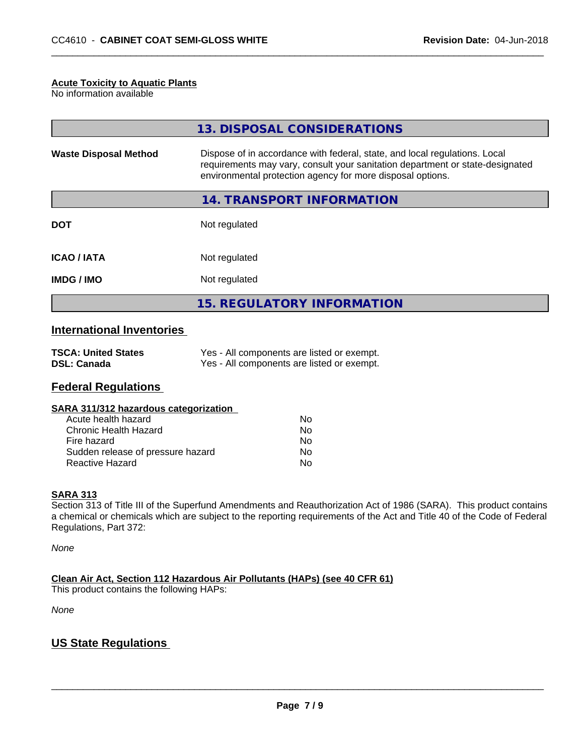### **Acute Toxicity to Aquatic Plants**

No information available

|                              | 13. DISPOSAL CONSIDERATIONS                                                                                                                                                                                               |
|------------------------------|---------------------------------------------------------------------------------------------------------------------------------------------------------------------------------------------------------------------------|
| <b>Waste Disposal Method</b> | Dispose of in accordance with federal, state, and local regulations. Local<br>requirements may vary, consult your sanitation department or state-designated<br>environmental protection agency for more disposal options. |
|                              | 14. TRANSPORT INFORMATION                                                                                                                                                                                                 |
| <b>DOT</b>                   | Not regulated                                                                                                                                                                                                             |
| <b>ICAO/IATA</b>             | Not regulated                                                                                                                                                                                                             |
| <b>IMDG/IMO</b>              | Not regulated                                                                                                                                                                                                             |
|                              | 15. REGULATORY INFORMATION                                                                                                                                                                                                |

### **International Inventories**

| <b>TSCA: United States</b> | Yes - All components are listed or exempt. |
|----------------------------|--------------------------------------------|
| <b>DSL: Canada</b>         | Yes - All components are listed or exempt. |

### **Federal Regulations**

| SARA 311/312 hazardous categorization |    |  |
|---------------------------------------|----|--|
| Acute health hazard                   | Nο |  |
| Chronic Health Hazard                 | Nο |  |
| Fire hazard                           | Nο |  |
| Sudden release of pressure hazard     | N٥ |  |

Reactive Hazard No. No. 2012 12:30 No. 2012

### **SARA 313**

Section 313 of Title III of the Superfund Amendments and Reauthorization Act of 1986 (SARA). This product contains a chemical or chemicals which are subject to the reporting requirements of the Act and Title 40 of the Code of Federal Regulations, Part 372:

*None*

**Clean Air Act,Section 112 Hazardous Air Pollutants (HAPs) (see 40 CFR 61)**

This product contains the following HAPs:

*None*

### **US State Regulations**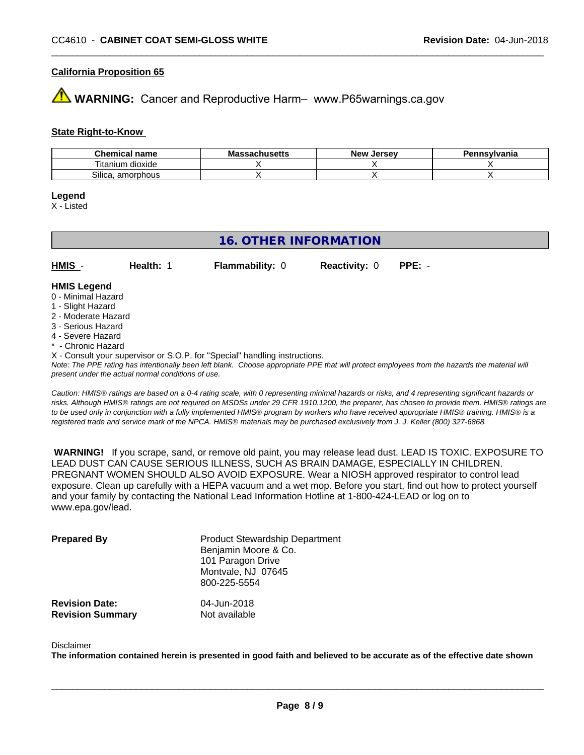### **California Proposition 65**

**AVIMARNING:** Cancer and Reproductive Harm– www.P65warnings.ca.gov

### **State Right-to-Know**

| Chemical<br>name               | Mass<br>sachusetts | <b>Jersev</b><br>Nev | Pennsvlvania |
|--------------------------------|--------------------|----------------------|--------------|
| ⊦dioxide<br>l itanıum          |                    |                      |              |
| <b></b><br>Silica<br>amorphous |                    |                      |              |

### **Legend**

X - Listed

## **16. OTHER INFORMATION**

**HMIS** - **Health:** 1 **Flammability:** 0 **Reactivity:** 0 **PPE:** -

### **HMIS Legend**

- 0 Minimal Hazard
- 1 Slight Hazard
- 2 Moderate Hazard
- 3 Serious Hazard
- 4 Severe Hazard
- \* Chronic Hazard
- X Consult your supervisor or S.O.P. for "Special" handling instructions.

*Note: The PPE rating has intentionally been left blank. Choose appropriate PPE that will protect employees from the hazards the material will present under the actual normal conditions of use.*

*Caution: HMISÒ ratings are based on a 0-4 rating scale, with 0 representing minimal hazards or risks, and 4 representing significant hazards or risks. Although HMISÒ ratings are not required on MSDSs under 29 CFR 1910.1200, the preparer, has chosen to provide them. HMISÒ ratings are to be used only in conjunction with a fully implemented HMISÒ program by workers who have received appropriate HMISÒ training. HMISÒ is a registered trade and service mark of the NPCA. HMISÒ materials may be purchased exclusively from J. J. Keller (800) 327-6868.*

 **WARNING!** If you scrape, sand, or remove old paint, you may release lead dust. LEAD IS TOXIC. EXPOSURE TO LEAD DUST CAN CAUSE SERIOUS ILLNESS, SUCH AS BRAIN DAMAGE, ESPECIALLY IN CHILDREN. PREGNANT WOMEN SHOULD ALSO AVOID EXPOSURE.Wear a NIOSH approved respirator to control lead exposure. Clean up carefully with a HEPA vacuum and a wet mop. Before you start, find out how to protect yourself and your family by contacting the National Lead Information Hotline at 1-800-424-LEAD or log on to www.epa.gov/lead.

| <b>Prepared By</b>      | <b>Product Stewardship Department</b><br>Benjamin Moore & Co.<br>101 Paragon Drive<br>Montvale, NJ 07645<br>800-225-5554 |
|-------------------------|--------------------------------------------------------------------------------------------------------------------------|
| <b>Revision Date:</b>   | 04-Jun-2018                                                                                                              |
| <b>Revision Summary</b> | Not available                                                                                                            |

### Disclaimer

The information contained herein is presented in good faith and believed to be accurate as of the effective date shown